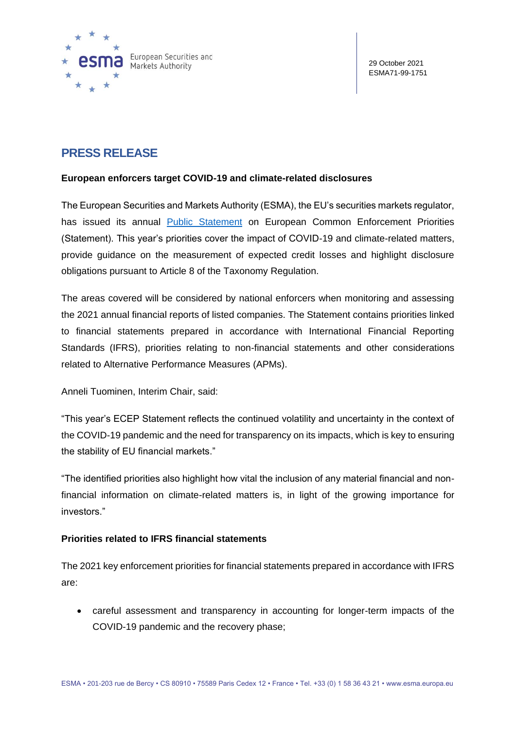

# **PRESS RELEASE**

## **European enforcers target COVID-19 and climate-related disclosures**

The European Securities and Markets Authority (ESMA), the EU's securities markets regulator, has issued its annual [Public Statement](https://www.esma.europa.eu/sites/default/files/library/esma32-63-1186_public_statement_on_the_european_common_enforcement_priorities_2021.pdf) on European Common Enforcement Priorities (Statement). This year's priorities cover the impact of COVID-19 and climate-related matters, provide guidance on the measurement of expected credit losses and highlight disclosure obligations pursuant to Article 8 of the Taxonomy Regulation.

The areas covered will be considered by national enforcers when monitoring and assessing the 2021 annual financial reports of listed companies. The Statement contains priorities linked to financial statements prepared in accordance with International Financial Reporting Standards (IFRS), priorities relating to non-financial statements and other considerations related to Alternative Performance Measures (APMs).

Anneli Tuominen, Interim Chair, said:

"This year's ECEP Statement reflects the continued volatility and uncertainty in the context of the COVID-19 pandemic and the need for transparency on its impacts, which is key to ensuring the stability of EU financial markets."

"The identified priorities also highlight how vital the inclusion of any material financial and nonfinancial information on climate-related matters is, in light of the growing importance for investors."

# **Priorities related to IFRS financial statements**

The 2021 key enforcement priorities for financial statements prepared in accordance with IFRS are:

• careful assessment and transparency in accounting for longer-term impacts of the COVID-19 pandemic and the recovery phase;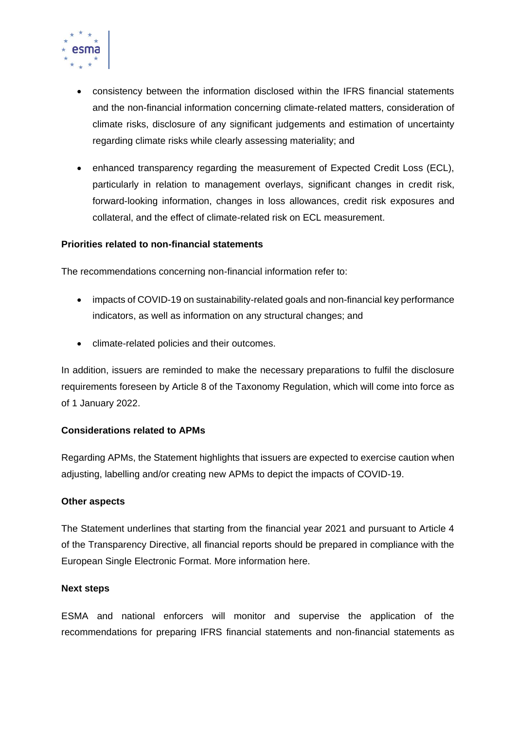

- consistency between the information disclosed within the IFRS financial statements and the non-financial information concerning climate-related matters, consideration of climate risks, disclosure of any significant judgements and estimation of uncertainty regarding climate risks while clearly assessing materiality; and
- enhanced transparency regarding the measurement of Expected Credit Loss (ECL), particularly in relation to management overlays, significant changes in credit risk, forward-looking information, changes in loss allowances, credit risk exposures and collateral, and the effect of climate-related risk on ECL measurement.

#### **Priorities related to non-financial statements**

The recommendations concerning non-financial information refer to:

- impacts of COVID-19 on sustainability-related goals and non-financial key performance indicators, as well as information on any structural changes; and
- climate-related policies and their outcomes.

In addition, issuers are reminded to make the necessary preparations to fulfil the disclosure requirements foreseen by Article 8 of the Taxonomy Regulation, which will come into force as of 1 January 2022.

#### **Considerations related to APMs**

Regarding APMs, the Statement highlights that issuers are expected to exercise caution when adjusting, labelling and/or creating new APMs to depict the impacts of COVID-19.

#### **Other aspects**

The Statement underlines that starting from the financial year 2021 and pursuant to Article 4 of the Transparency Directive, all financial reports should be prepared in compliance with the European Single Electronic Format. More information here.

#### **Next steps**

ESMA and national enforcers will monitor and supervise the application of the recommendations for preparing IFRS financial statements and non-financial statements as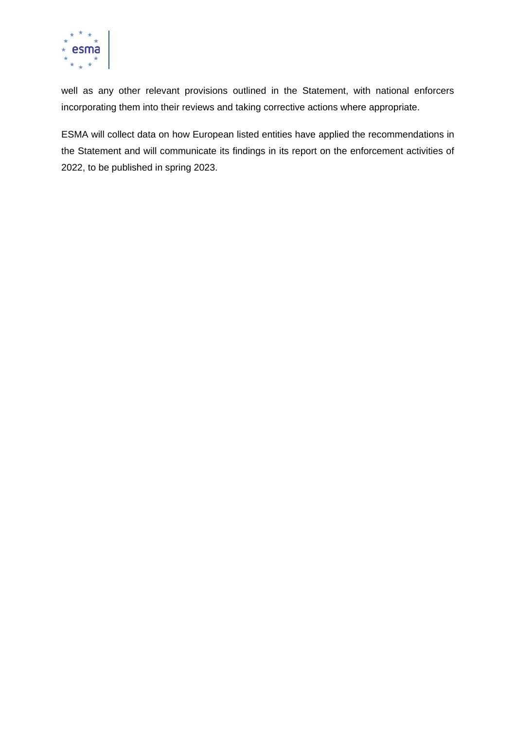

well as any other relevant provisions outlined in the Statement, with national enforcers incorporating them into their reviews and taking corrective actions where appropriate.

ESMA will collect data on how European listed entities have applied the recommendations in the Statement and will communicate its findings in its report on the enforcement activities of 2022, to be published in spring 2023.